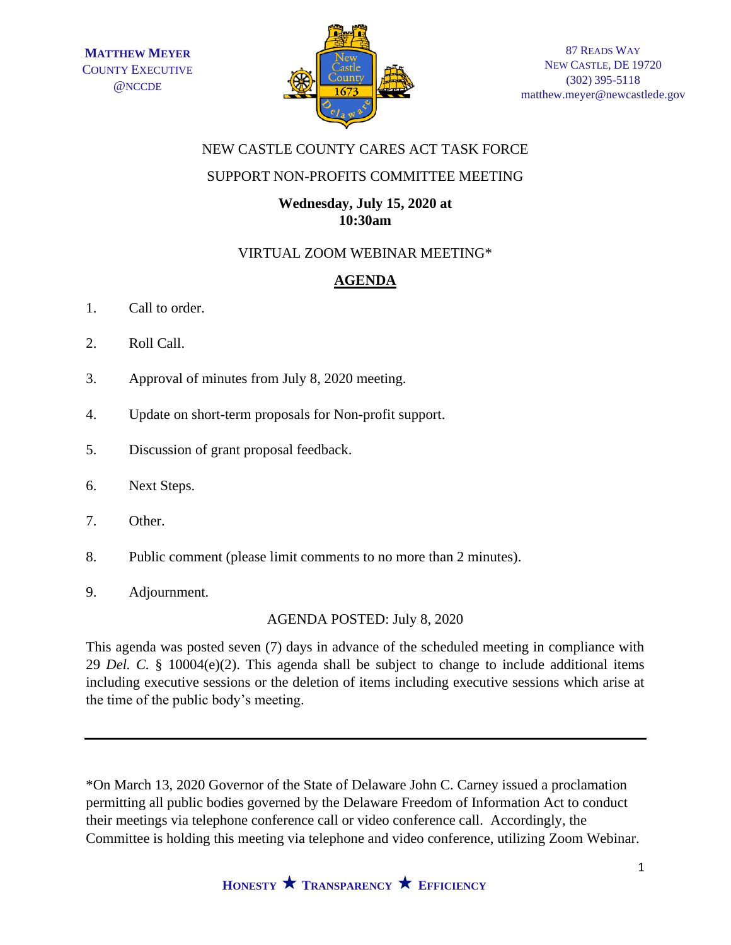

## NEW CASTLE COUNTY CARES ACT TASK FORCE

## SUPPORT NON-PROFITS COMMITTEE MEETING

#### **Wednesday, July 15, 2020 at 10:30am**

## VIRTUAL ZOOM WEBINAR MEETING\*

# **AGENDA**

- 1. Call to order.
- 2. Roll Call.
- 3. Approval of minutes from July 8, 2020 meeting.
- 4. Update on short-term proposals for Non-profit support.
- 5. Discussion of grant proposal feedback.
- 6. Next Steps.
- 7. Other.
- 8. Public comment (please limit comments to no more than 2 minutes).
- 9. Adjournment.

# AGENDA POSTED: July 8, 2020

This agenda was posted seven (7) days in advance of the scheduled meeting in compliance with 29 *Del. C.* § 10004(e)(2). This agenda shall be subject to change to include additional items including executive sessions or the deletion of items including executive sessions which arise at the time of the public body's meeting.

\*On March 13, 2020 Governor of the State of Delaware John C. Carney issued a proclamation permitting all public bodies governed by the Delaware Freedom of Information Act to conduct their meetings via telephone conference call or video conference call. Accordingly, the Committee is holding this meeting via telephone and video conference, utilizing Zoom Webinar.